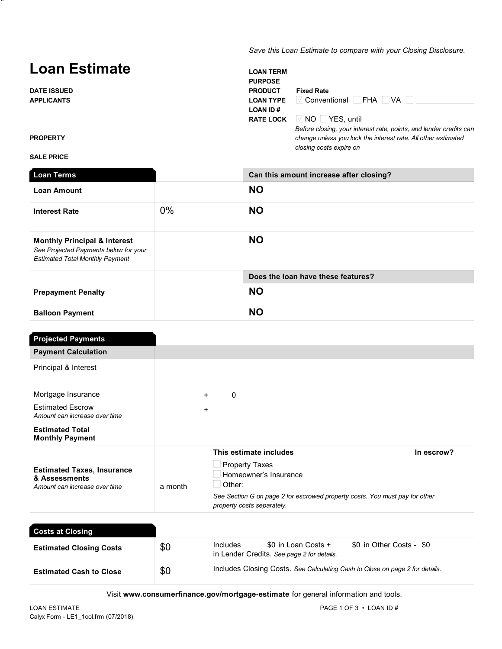*Save this Loan Estimate to compare with your Closing Disclosure.*

# Loan Estimate

DATE ISSUED APPLICANTS

**\*\*** ADV

| <b>LOAN TERM</b><br><b>PURPOSE</b><br><b>PRODUCT</b><br><b>LOAN TYPE</b> | <b>Fixed Rate</b><br>$\overline{\vee}$ Conventional $\Box$ FHA $\Box$ VA $\Box$                                                     |
|--------------------------------------------------------------------------|-------------------------------------------------------------------------------------------------------------------------------------|
| <b>LOAN ID#</b>                                                          |                                                                                                                                     |
|                                                                          | <b>RATE LOCK</b> $\sqrt{ N }$ $\sqrt{ V }$ $\sqrt{ V }$ <b>PCS</b> . until                                                          |
|                                                                          | Before closing, your interest rate, points, and lender credits can<br>change unless you lock the interest rate. All other estimated |

*closing costs expire on*

**PROPERTY** 

#### SALE PRICE

| <b>Loan Terms</b>                                                                                                          |       | Can this amount increase after closing? |
|----------------------------------------------------------------------------------------------------------------------------|-------|-----------------------------------------|
| <b>Loan Amount</b>                                                                                                         |       | <b>NO</b>                               |
| <b>Interest Rate</b>                                                                                                       | $0\%$ | <b>NO</b>                               |
| <b>Monthly Principal &amp; Interest</b><br>See Projected Payments below for your<br><b>Estimated Total Monthly Payment</b> |       | <b>NO</b>                               |
|                                                                                                                            |       | Does the loan have these features?      |
| <b>Prepayment Penalty</b>                                                                                                  |       | <b>NO</b>                               |
| <b>Balloon Payment</b>                                                                                                     |       | <b>NO</b>                               |

| <b>Projected Payments</b>                                                           |                                                                                                                                                                                                                                 |
|-------------------------------------------------------------------------------------|---------------------------------------------------------------------------------------------------------------------------------------------------------------------------------------------------------------------------------|
| <b>Payment Calculation</b>                                                          |                                                                                                                                                                                                                                 |
| Principal & Interest                                                                |                                                                                                                                                                                                                                 |
| Mortgage Insurance                                                                  | 0<br>$+$                                                                                                                                                                                                                        |
| <b>Estimated Escrow</b><br>Amount can increase over time                            | $\ddot{}$                                                                                                                                                                                                                       |
| <b>Estimated Total</b><br><b>Monthly Payment</b>                                    |                                                                                                                                                                                                                                 |
| <b>Estimated Taxes, Insurance</b><br>& Assessments<br>Amount can increase over time | This estimate includes<br>In escrow?<br>$\Box$ Property Taxes<br>Homeowner's Insurance<br>$\Box$ Other:<br>a month<br>See Section G on page 2 for escrowed property costs. You must pay for other<br>property costs separately. |

| <b>Costs at Closing</b>        |     |                                                                              |                                                                   |                          |
|--------------------------------|-----|------------------------------------------------------------------------------|-------------------------------------------------------------------|--------------------------|
| <b>Estimated Closing Costs</b> | \$0 | Includes                                                                     | \$0 in Loan Costs +<br>in Lender Credits. See page 2 for details. | \$0 in Other Costs - \$0 |
| <b>Estimated Cash to Close</b> | \$0 | Includes Closing Costs. See Calculating Cash to Close on page 2 for details. |                                                                   |                          |

Visit www.consumerfinance.gov/mortgage-estimate for general information and tools.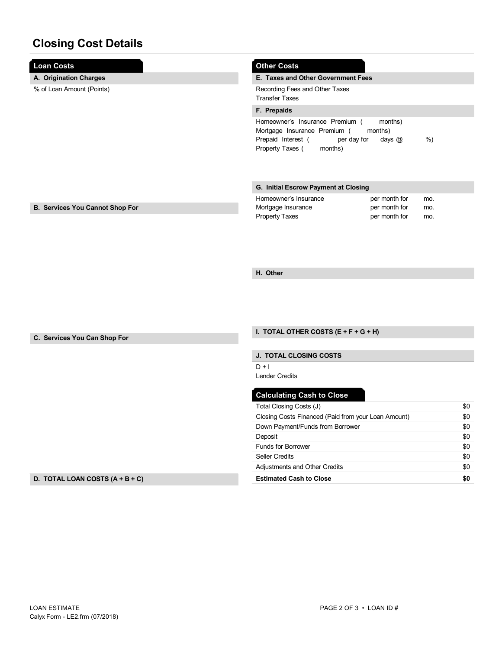## Closing Cost Details

| <b>Loan Costs</b>                      | <b>Other Costs</b>                                  |     |
|----------------------------------------|-----------------------------------------------------|-----|
| A. Origination Charges                 | E. Taxes and Other Government Fees                  |     |
| % of Loan Amount (Points)              | Recording Fees and Other Taxes                      |     |
|                                        | <b>Transfer Taxes</b>                               |     |
|                                        | F. Prepaids                                         |     |
|                                        | Homeowner's Insurance Premium (<br>months)          |     |
|                                        | Mortgage Insurance Premium (<br>months)             |     |
|                                        | Prepaid Interest (<br>per day for<br>days $@$       | %)  |
|                                        | Property Taxes (<br>months)                         |     |
|                                        |                                                     |     |
|                                        |                                                     |     |
|                                        | G. Initial Escrow Payment at Closing                |     |
|                                        | Homeowner's Insurance<br>per month for              | mo. |
| <b>B. Services You Cannot Shop For</b> | Mortgage Insurance<br>per month for                 | mo. |
|                                        | <b>Property Taxes</b><br>per month for              | mo. |
|                                        |                                                     |     |
|                                        |                                                     |     |
|                                        |                                                     |     |
|                                        |                                                     |     |
|                                        | H. Other                                            |     |
|                                        |                                                     |     |
|                                        |                                                     |     |
|                                        |                                                     |     |
|                                        |                                                     |     |
|                                        |                                                     |     |
| C. Services You Can Shop For           | I. TOTAL OTHER COSTS $(E + F + G + H)$              |     |
|                                        |                                                     |     |
|                                        | J. TOTAL CLOSING COSTS                              |     |
|                                        | $D + I$                                             |     |
|                                        | <b>Lender Credits</b>                               |     |
|                                        | <b>Calculating Cash to Close</b>                    |     |
|                                        | Total Closing Costs (J)                             | \$0 |
|                                        | Closing Costs Financed (Paid from your Loan Amount) | \$0 |
|                                        | Down Payment/Funds from Borrower                    | \$0 |
|                                        | Deposit                                             | \$0 |
|                                        | <b>Funds for Borrower</b>                           | \$0 |
|                                        | <b>Seller Credits</b>                               | \$0 |
|                                        | <b>Adjustments and Other Credits</b>                | \$0 |

Estimated Cash to Close

D. TOTAL LOAN COSTS (A + B + C)

\$0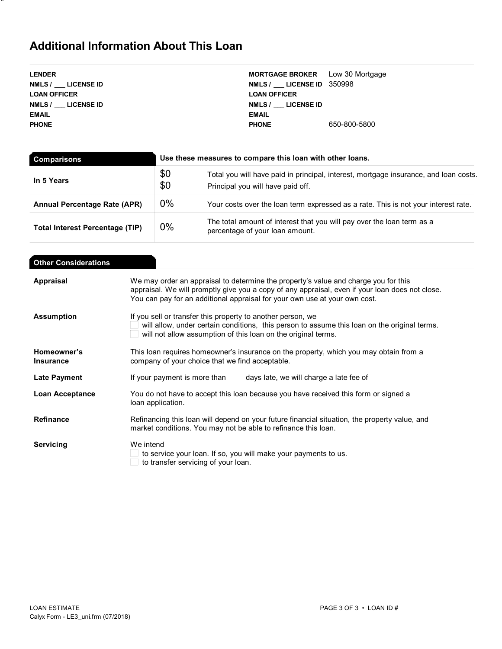### Additional Information About This Loan

**\*\*** ADV

 $\overline{\phantom{a}}$ 

| <b>MORTGAGE BROKER</b> Low 30 Mortgage |              |
|----------------------------------------|--------------|
| NMLS / LICENSE ID 350998               |              |
| <b>LOAN OFFICER</b>                    |              |
| NMLS / LICENSE ID                      |              |
| <b>EMAIL</b>                           |              |
| <b>PHONE</b>                           | 650-800-5800 |
|                                        |              |

| <b>Comparisons</b>                     | Use these measures to compare this loan with other loans. |                                                                                                                           |  |
|----------------------------------------|-----------------------------------------------------------|---------------------------------------------------------------------------------------------------------------------------|--|
| In 5 Years                             | \$0<br>\$0                                                | Total you will have paid in principal, interest, mortgage insurance, and loan costs.<br>Principal you will have paid off. |  |
| <b>Annual Percentage Rate (APR)</b>    | $0\%$                                                     | Your costs over the loan term expressed as a rate. This is not your interest rate.                                        |  |
| <b>Total Interest Percentage (TIP)</b> | $0\%$                                                     | The total amount of interest that you will pay over the loan term as a<br>percentage of your loan amount.                 |  |

| <b>Other Considerations</b>     |                                                                                                                                                                                                                                                                      |
|---------------------------------|----------------------------------------------------------------------------------------------------------------------------------------------------------------------------------------------------------------------------------------------------------------------|
| Appraisal                       | We may order an appraisal to determine the property's value and charge you for this<br>appraisal. We will promptly give you a copy of any appraisal, even if your loan does not close.<br>You can pay for an additional appraisal for your own use at your own cost. |
| <b>Assumption</b>               | If you sell or transfer this property to another person, we<br>will allow, under certain conditions, this person to assume this loan on the original terms.<br>will not allow assumption of this loan on the original terms.                                         |
| Homeowner's<br><b>Insurance</b> | This loan requires homeowner's insurance on the property, which you may obtain from a<br>company of your choice that we find acceptable.                                                                                                                             |
| Late Payment                    | If your payment is more than<br>days late, we will charge a late fee of                                                                                                                                                                                              |
| <b>Loan Acceptance</b>          | You do not have to accept this loan because you have received this form or signed a<br>loan application.                                                                                                                                                             |
| <b>Refinance</b>                | Refinancing this loan will depend on your future financial situation, the property value, and<br>market conditions. You may not be able to refinance this loan.                                                                                                      |
| Servicing                       | We intend<br>to service your loan. If so, you will make your payments to us.<br>to transfer servicing of your loan.                                                                                                                                                  |